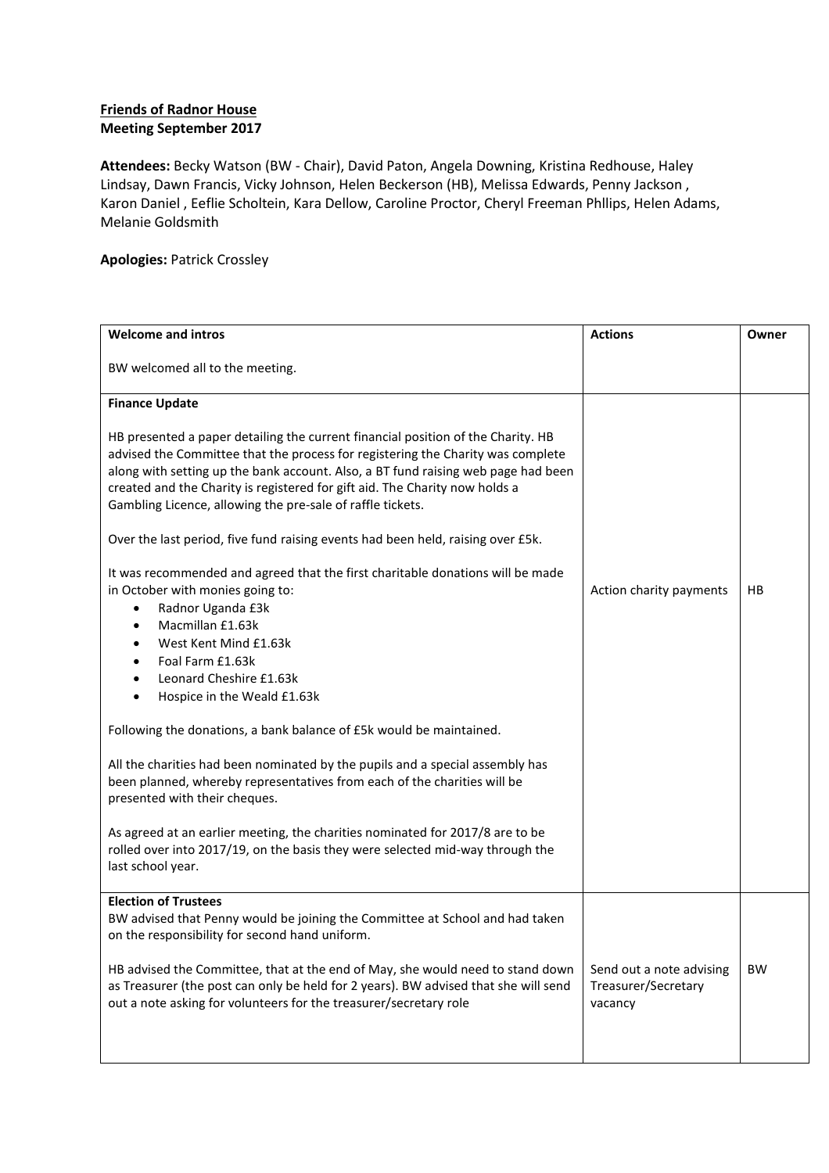## **Friends of Radnor House Meeting September 2017**

**Attendees:** Becky Watson (BW - Chair), David Paton, Angela Downing, Kristina Redhouse, Haley Lindsay, Dawn Francis, Vicky Johnson, Helen Beckerson (HB), Melissa Edwards, Penny Jackson , Karon Daniel , Eeflie Scholtein, Kara Dellow, Caroline Proctor, Cheryl Freeman Phllips, Helen Adams, Melanie Goldsmith

## **Apologies:** Patrick Crossley

| <b>Welcome and intros</b>                                                                                                                                                                                                                                                                                                                                                                             | <b>Actions</b>                                             | Owner     |
|-------------------------------------------------------------------------------------------------------------------------------------------------------------------------------------------------------------------------------------------------------------------------------------------------------------------------------------------------------------------------------------------------------|------------------------------------------------------------|-----------|
| BW welcomed all to the meeting.                                                                                                                                                                                                                                                                                                                                                                       |                                                            |           |
| <b>Finance Update</b>                                                                                                                                                                                                                                                                                                                                                                                 |                                                            |           |
| HB presented a paper detailing the current financial position of the Charity. HB<br>advised the Committee that the process for registering the Charity was complete<br>along with setting up the bank account. Also, a BT fund raising web page had been<br>created and the Charity is registered for gift aid. The Charity now holds a<br>Gambling Licence, allowing the pre-sale of raffle tickets. |                                                            |           |
| Over the last period, five fund raising events had been held, raising over £5k.                                                                                                                                                                                                                                                                                                                       |                                                            |           |
| It was recommended and agreed that the first charitable donations will be made<br>in October with monies going to:<br>Radnor Uganda £3k<br>$\bullet$<br>Macmillan £1.63k<br>٠<br>West Kent Mind £1.63k<br>٠<br>Foal Farm £1.63k<br>$\bullet$<br>Leonard Cheshire £1.63k<br>$\bullet$<br>Hospice in the Weald £1.63k<br>٠                                                                              | Action charity payments                                    | HB        |
| Following the donations, a bank balance of £5k would be maintained.                                                                                                                                                                                                                                                                                                                                   |                                                            |           |
| All the charities had been nominated by the pupils and a special assembly has<br>been planned, whereby representatives from each of the charities will be<br>presented with their cheques.                                                                                                                                                                                                            |                                                            |           |
| As agreed at an earlier meeting, the charities nominated for 2017/8 are to be<br>rolled over into 2017/19, on the basis they were selected mid-way through the<br>last school year.                                                                                                                                                                                                                   |                                                            |           |
| <b>Election of Trustees</b>                                                                                                                                                                                                                                                                                                                                                                           |                                                            |           |
| BW advised that Penny would be joining the Committee at School and had taken<br>on the responsibility for second hand uniform.                                                                                                                                                                                                                                                                        |                                                            |           |
| HB advised the Committee, that at the end of May, she would need to stand down<br>as Treasurer (the post can only be held for 2 years). BW advised that she will send<br>out a note asking for volunteers for the treasurer/secretary role                                                                                                                                                            | Send out a note advising<br>Treasurer/Secretary<br>vacancy | <b>BW</b> |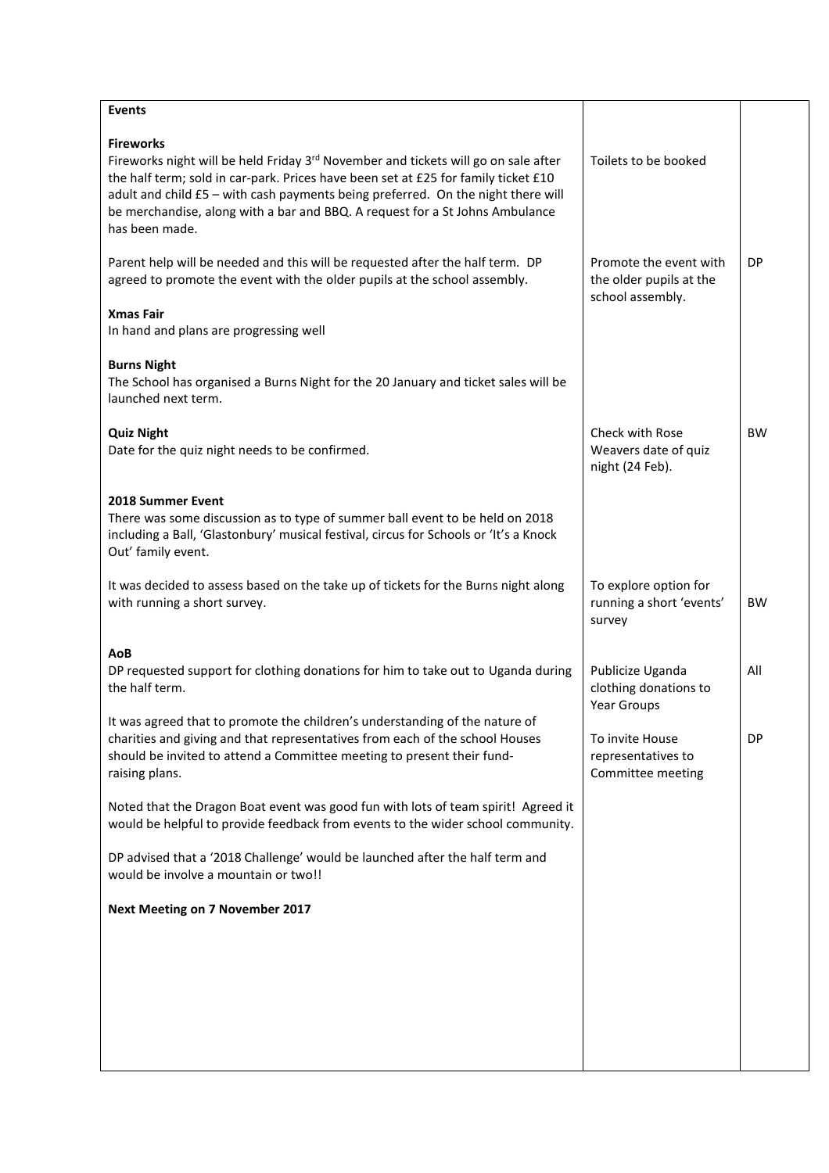| <b>Events</b>                                                                                                                                                                                                                                                                                                                                                                                  |                                                                       |           |
|------------------------------------------------------------------------------------------------------------------------------------------------------------------------------------------------------------------------------------------------------------------------------------------------------------------------------------------------------------------------------------------------|-----------------------------------------------------------------------|-----------|
| <b>Fireworks</b><br>Fireworks night will be held Friday 3 <sup>rd</sup> November and tickets will go on sale after<br>the half term; sold in car-park. Prices have been set at £25 for family ticket £10<br>adult and child £5 - with cash payments being preferred. On the night there will<br>be merchandise, along with a bar and BBQ. A request for a St Johns Ambulance<br>has been made. | Toilets to be booked                                                  |           |
| Parent help will be needed and this will be requested after the half term. DP<br>agreed to promote the event with the older pupils at the school assembly.                                                                                                                                                                                                                                     | Promote the event with<br>the older pupils at the<br>school assembly. | <b>DP</b> |
| <b>Xmas Fair</b><br>In hand and plans are progressing well                                                                                                                                                                                                                                                                                                                                     |                                                                       |           |
| <b>Burns Night</b><br>The School has organised a Burns Night for the 20 January and ticket sales will be<br>launched next term.                                                                                                                                                                                                                                                                |                                                                       |           |
| <b>Quiz Night</b><br>Date for the quiz night needs to be confirmed.                                                                                                                                                                                                                                                                                                                            | <b>Check with Rose</b><br>Weavers date of quiz<br>night (24 Feb).     | <b>BW</b> |
| <b>2018 Summer Event</b><br>There was some discussion as to type of summer ball event to be held on 2018<br>including a Ball, 'Glastonbury' musical festival, circus for Schools or 'It's a Knock<br>Out' family event.                                                                                                                                                                        |                                                                       |           |
| It was decided to assess based on the take up of tickets for the Burns night along<br>with running a short survey.                                                                                                                                                                                                                                                                             | To explore option for<br>running a short 'events'<br>survey           | <b>BW</b> |
| AoB<br>DP requested support for clothing donations for him to take out to Uganda during<br>the half term.                                                                                                                                                                                                                                                                                      | Publicize Uganda<br>clothing donations to<br>Year Groups              | All       |
| It was agreed that to promote the children's understanding of the nature of<br>charities and giving and that representatives from each of the school Houses<br>should be invited to attend a Committee meeting to present their fund-<br>raising plans.                                                                                                                                        | To invite House<br>representatives to<br>Committee meeting            | DP        |
| Noted that the Dragon Boat event was good fun with lots of team spirit! Agreed it<br>would be helpful to provide feedback from events to the wider school community.                                                                                                                                                                                                                           |                                                                       |           |
| DP advised that a '2018 Challenge' would be launched after the half term and<br>would be involve a mountain or two!!                                                                                                                                                                                                                                                                           |                                                                       |           |
| <b>Next Meeting on 7 November 2017</b>                                                                                                                                                                                                                                                                                                                                                         |                                                                       |           |
|                                                                                                                                                                                                                                                                                                                                                                                                |                                                                       |           |
|                                                                                                                                                                                                                                                                                                                                                                                                |                                                                       |           |
|                                                                                                                                                                                                                                                                                                                                                                                                |                                                                       |           |
|                                                                                                                                                                                                                                                                                                                                                                                                |                                                                       |           |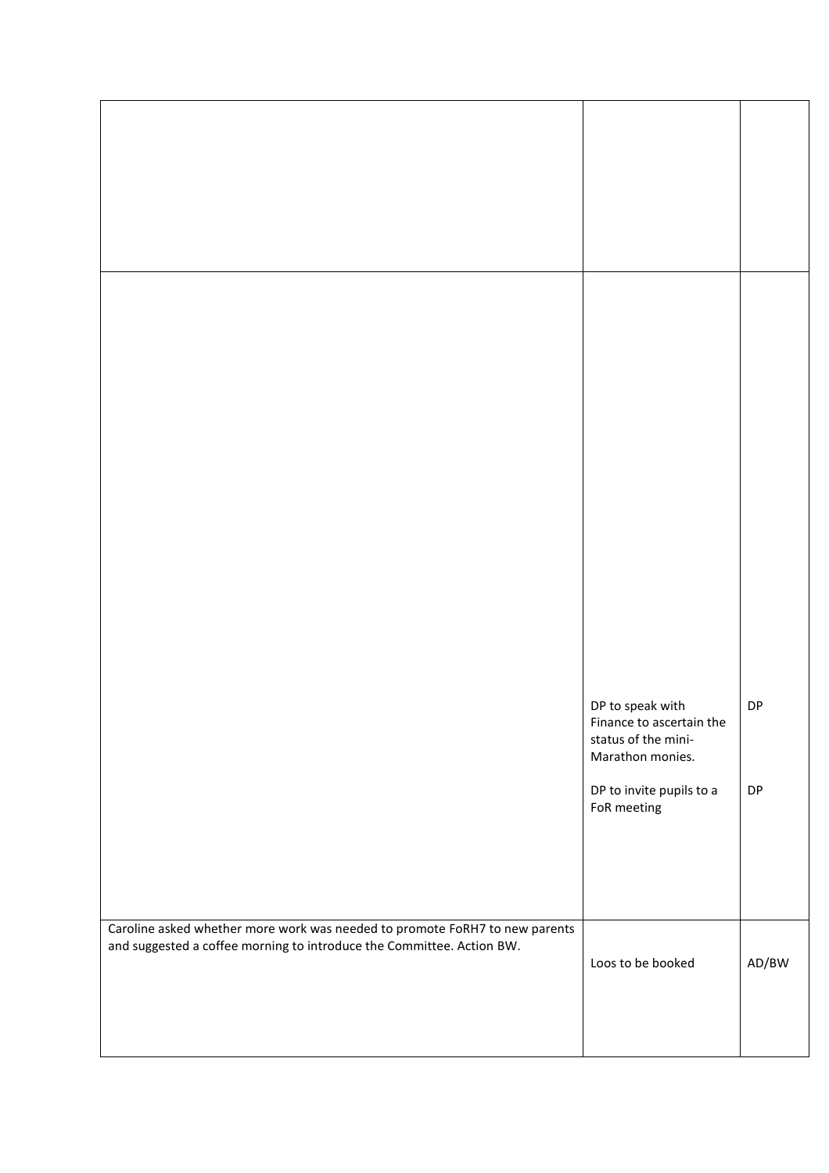|                                                                                                                                                      | DP to speak with<br>Finance to ascertain the<br>status of the mini- | DP                        |
|------------------------------------------------------------------------------------------------------------------------------------------------------|---------------------------------------------------------------------|---------------------------|
|                                                                                                                                                      | Marathon monies.<br>DP to invite pupils to a<br>FoR meeting         | DP                        |
| Caroline asked whether more work was needed to promote FoRH7 to new parents<br>and suggested a coffee morning to introduce the Committee. Action BW. | Loos to be booked                                                   | $\mathsf{AD}/\mathsf{BW}$ |